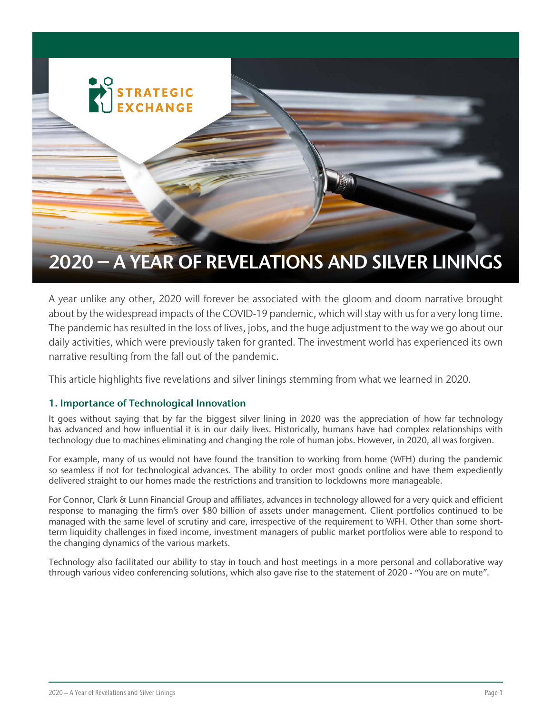

A year unlike any other, 2020 will forever be associated with the gloom and doom narrative brought about by the widespread impacts of the COVID-19 pandemic, which will stay with us for a very long time. The pandemic has resulted in the loss of lives, jobs, and the huge adjustment to the way we go about our daily activities, which were previously taken for granted. The investment world has experienced its own narrative resulting from the fall out of the pandemic.

This article highlights five revelations and silver linings stemming from what we learned in 2020.

# 1. Importance of Technological Innovation

It goes without saying that by far the biggest silver lining in 2020 was the appreciation of how far technology has advanced and how influential it is in our daily lives. Historically, humans have had complex relationships with technology due to machines eliminating and changing the role of human jobs. However, in 2020, all was forgiven.

For example, many of us would not have found the transition to working from home (WFH) during the pandemic so seamless if not for technological advances. The ability to order most goods online and have them expediently delivered straight to our homes made the restrictions and transition to lockdowns more manageable.

For Connor, Clark & Lunn Financial Group and affiliates, advances in technology allowed for a very quick and efficient response to managing the firm's over \$80 billion of assets under management. Client portfolios continued to be managed with the same level of scrutiny and care, irrespective of the requirement to WFH. Other than some shortterm liquidity challenges in fixed income, investment managers of public market portfolios were able to respond to the changing dynamics of the various markets.

Technology also facilitated our ability to stay in touch and host meetings in a more personal and collaborative way through various video conferencing solutions, which also gave rise to the statement of 2020 - "You are on mute".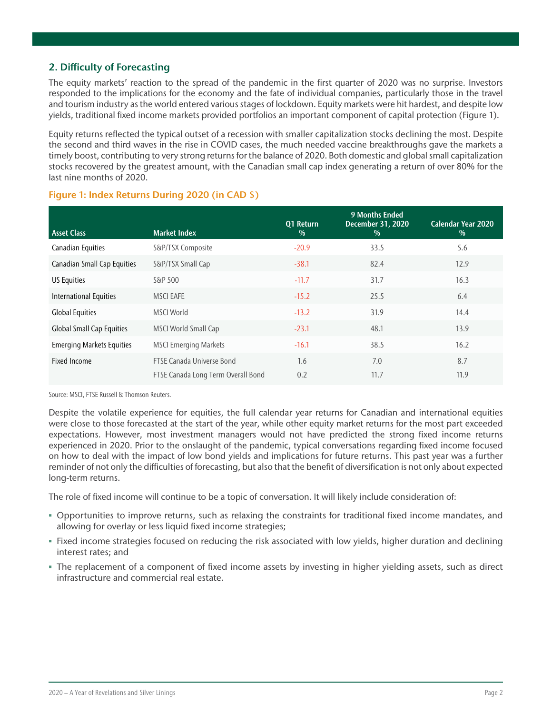# 2. Difficulty of Forecasting

The equity markets' reaction to the spread of the pandemic in the first quarter of 2020 was no surprise. Investors responded to the implications for the economy and the fate of individual companies, particularly those in the travel and tourism industry as the world entered various stages of lockdown. Equity markets were hit hardest, and despite low yields, traditional fixed income markets provided portfolios an important component of capital protection (Figure 1).

Equity returns reflected the typical outset of a recession with smaller capitalization stocks declining the most. Despite the second and third waves in the rise in COVID cases, the much needed vaccine breakthroughs gave the markets a timely boost, contributing to very strong returns for the balance of 2020. Both domestic and global small capitalization stocks recovered by the greatest amount, with the Canadian small cap index generating a return of over 80% for the last nine months of 2020.

| <b>Asset Class</b>               | <b>Market Index</b>                | Q1 Return<br>$\%$ | <b>9 Months Ended</b><br><b>December 31, 2020</b><br>$\%$ | <b>Calendar Year 2020</b><br>$\%$ |
|----------------------------------|------------------------------------|-------------------|-----------------------------------------------------------|-----------------------------------|
| Canadian Equities                | S&P/TSX Composite                  | $-20.9$           | 33.5                                                      | 5.6                               |
| Canadian Small Cap Equities      | S&P/TSX Small Cap                  | $-38.1$           | 82.4                                                      | 12.9                              |
| <b>US Equities</b>               | S&P 500                            | $-11.7$           | 31.7                                                      | 16.3                              |
| International Equities           | <b>MSCI EAFE</b>                   | $-15.2$           | 25.5                                                      | 6.4                               |
| <b>Global Equities</b>           | <b>MSCI World</b>                  | $-13.2$           | 31.9                                                      | 14.4                              |
| <b>Global Small Cap Equities</b> | MSCI World Small Cap               | $-23.1$           | 48.1                                                      | 13.9                              |
| <b>Emerging Markets Equities</b> | <b>MSCI Emerging Markets</b>       | $-16.1$           | 38.5                                                      | 16.2                              |
| <b>Fixed Income</b>              | FTSE Canada Universe Bond          | 1.6               | 7.0                                                       | 8.7                               |
|                                  | FTSE Canada Long Term Overall Bond | 0.2               | 11.7                                                      | 11.9                              |

# Figure 1: Index Returns During 2020 (in CAD \$)

Source: MSCI, FTSE Russell & Thomson Reuters.

Despite the volatile experience for equities, the full calendar year returns for Canadian and international equities were close to those forecasted at the start of the year, while other equity market returns for the most part exceeded expectations. However, most investment managers would not have predicted the strong fixed income returns experienced in 2020. Prior to the onslaught of the pandemic, typical conversations regarding fixed income focused on how to deal with the impact of low bond yields and implications for future returns. This past year was a further reminder of not only the difficulties of forecasting, but also that the benefit of diversification is not only about expected long-term returns.

The role of fixed income will continue to be a topic of conversation. It will likely include consideration of:

- Opportunities to improve returns, such as relaxing the constraints for traditional fixed income mandates, and allowing for overlay or less liquid fixed income strategies;
- Fixed income strategies focused on reducing the risk associated with low yields, higher duration and declining interest rates; and
- The replacement of a component of fixed income assets by investing in higher yielding assets, such as direct infrastructure and commercial real estate.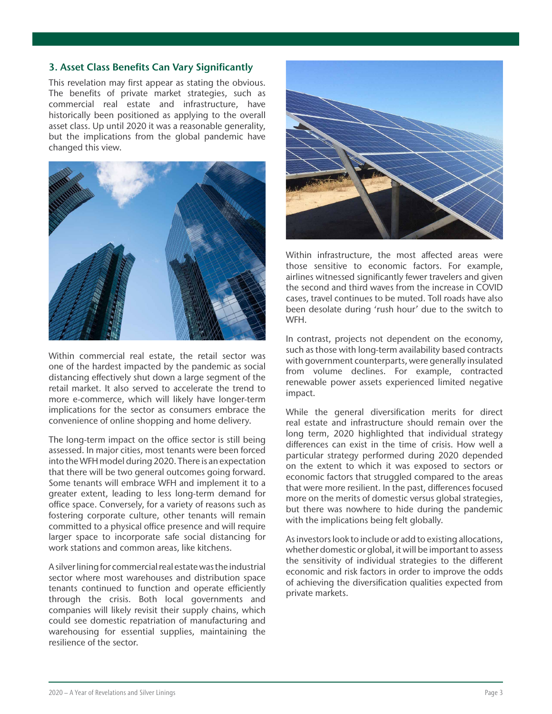### 3. Asset Class Benefits Can Vary Significantly

This revelation may first appear as stating the obvious. The benefits of private market strategies, such as commercial real estate and infrastructure, have historically been positioned as applying to the overall asset class. Up until 2020 it was a reasonable generality, but the implications from the global pandemic have changed this view.



Within commercial real estate, the retail sector was one of the hardest impacted by the pandemic as social distancing effectively shut down a large segment of the retail market. It also served to accelerate the trend to more e-commerce, which will likely have longer-term implications for the sector as consumers embrace the convenience of online shopping and home delivery.

The long-term impact on the office sector is still being assessed. In major cities, most tenants were been forced into the WFH model during 2020. There is an expectation that there will be two general outcomes going forward. Some tenants will embrace WFH and implement it to a greater extent, leading to less long-term demand for office space. Conversely, for a variety of reasons such as fostering corporate culture, other tenants will remain committed to a physical office presence and will require larger space to incorporate safe social distancing for work stations and common areas, like kitchens.

A silver lining for commercial real estate was the industrial sector where most warehouses and distribution space tenants continued to function and operate efficiently through the crisis. Both local governments and companies will likely revisit their supply chains, which could see domestic repatriation of manufacturing and warehousing for essential supplies, maintaining the resilience of the sector.



Within infrastructure, the most affected areas were those sensitive to economic factors. For example, airlines witnessed significantly fewer travelers and given the second and third waves from the increase in COVID cases, travel continues to be muted. Toll roads have also been desolate during 'rush hour' due to the switch to WFH.

In contrast, projects not dependent on the economy, such as those with long-term availability based contracts with government counterparts, were generally insulated from volume declines. For example, contracted renewable power assets experienced limited negative impact.

While the general diversification merits for direct real estate and infrastructure should remain over the long term, 2020 highlighted that individual strategy differences can exist in the time of crisis. How well a particular strategy performed during 2020 depended on the extent to which it was exposed to sectors or economic factors that struggled compared to the areas that were more resilient. In the past, differences focused more on the merits of domestic versus global strategies, but there was nowhere to hide during the pandemic with the implications being felt globally.

As investors look to include or add to existing allocations, whether domestic or global, it will be important to assess the sensitivity of individual strategies to the different economic and risk factors in order to improve the odds of achieving the diversification qualities expected from private markets.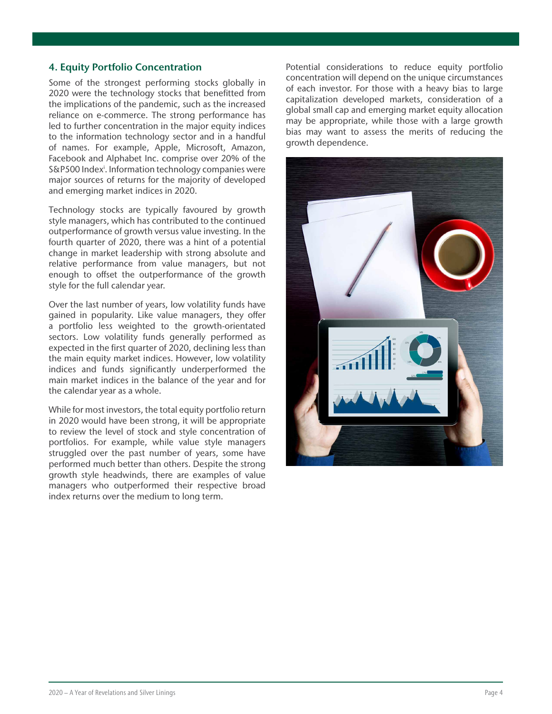### 4. Equity Portfolio Concentration

Some of the strongest performing stocks globally in 2020 were the technology stocks that benefitted from the implications of the pandemic, such as the increased reliance on e-commerce. The strong performance has led to further concentration in the major equity indices to the information technology sector and in a handful of names. For example, Apple, Microsoft, Amazon, Facebook and Alphabet Inc. comprise over 20% of the S&P500 Index<sup>i</sup>. Information technology companies were major sources of returns for the majority of developed and emerging market indices in 2020.

Technology stocks are typically favoured by growth style managers, which has contributed to the continued outperformance of growth versus value investing. In the fourth quarter of 2020, there was a hint of a potential change in market leadership with strong absolute and relative performance from value managers, but not enough to offset the outperformance of the growth style for the full calendar year.

Over the last number of years, low volatility funds have gained in popularity. Like value managers, they offer a portfolio less weighted to the growth-orientated sectors. Low volatility funds generally performed as expected in the first quarter of 2020, declining less than the main equity market indices. However, low volatility indices and funds significantly underperformed the main market indices in the balance of the year and for the calendar year as a whole.

While for most investors, the total equity portfolio return in 2020 would have been strong, it will be appropriate to review the level of stock and style concentration of portfolios. For example, while value style managers struggled over the past number of years, some have performed much better than others. Despite the strong growth style headwinds, there are examples of value managers who outperformed their respective broad index returns over the medium to long term.

Potential considerations to reduce equity portfolio concentration will depend on the unique circumstances of each investor. For those with a heavy bias to large capitalization developed markets, consideration of a global small cap and emerging market equity allocation may be appropriate, while those with a large growth bias may want to assess the merits of reducing the growth dependence.

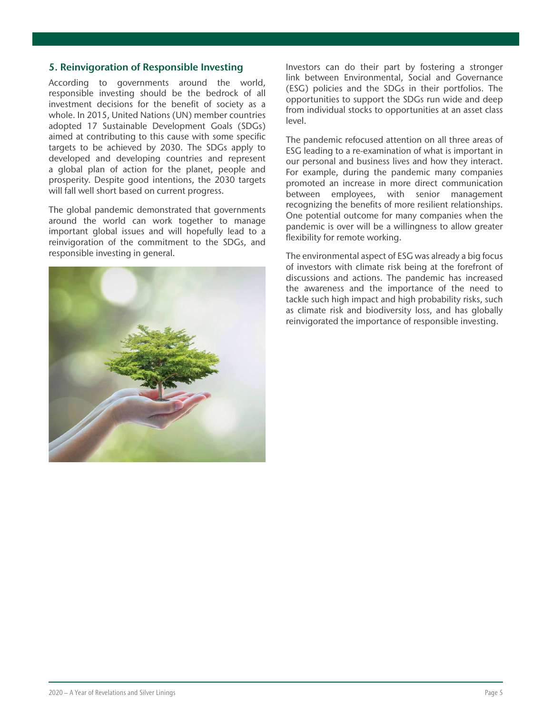#### 5. Reinvigoration of Responsible Investing

According to governments around the world, responsible investing should be the bedrock of all investment decisions for the benefit of society as a whole. In 2015, United Nations (UN) member countries adopted 17 Sustainable Development Goals (SDGs) aimed at contributing to this cause with some specific targets to be achieved by 2030. The SDGs apply to developed and developing countries and represent a global plan of action for the planet, people and prosperity. Despite good intentions, the 2030 targets will fall well short based on current progress.

The global pandemic demonstrated that governments around the world can work together to manage important global issues and will hopefully lead to a reinvigoration of the commitment to the SDGs, and responsible investing in general.



Investors can do their part by fostering a stronger link between Environmental, Social and Governance (ESG) policies and the SDGs in their portfolios. The opportunities to support the SDGs run wide and deep from individual stocks to opportunities at an asset class level.

The pandemic refocused attention on all three areas of ESG leading to a re-examination of what is important in our personal and business lives and how they interact. For example, during the pandemic many companies promoted an increase in more direct communication between employees, with senior management recognizing the benefits of more resilient relationships. One potential outcome for many companies when the pandemic is over will be a willingness to allow greater flexibility for remote working.

The environmental aspect of ESG was already a big focus of investors with climate risk being at the forefront of discussions and actions. The pandemic has increased the awareness and the importance of the need to tackle such high impact and high probability risks, such as climate risk and biodiversity loss, and has globally reinvigorated the importance of responsible investing.